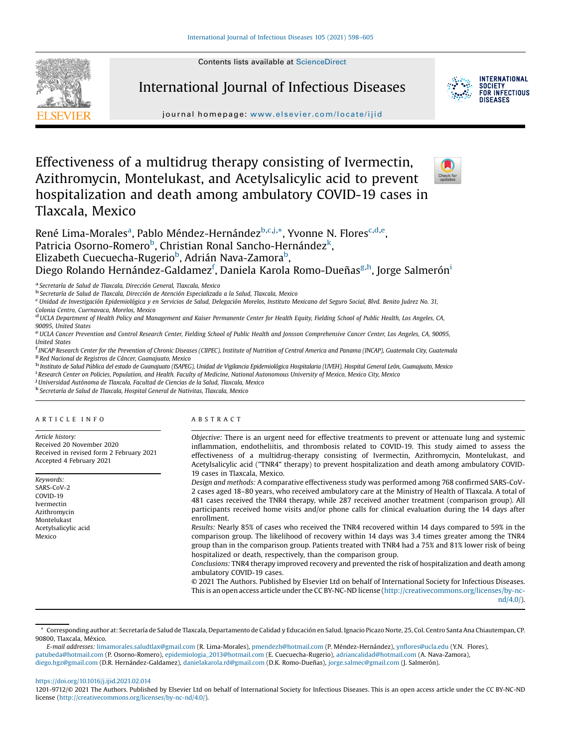Contents lists available at [ScienceDirect](http://www.sciencedirect.com/science/journal/12019712)



International Journal of Infectious Diseases



**INTERNATIONAL SOCIETY** FOR INFECTIOUS DISFASES

journal homepage: <www.elsevier.com/locate/ijid>

# Effectiveness of a multidrug therapy consisting of Ivermectin, Azithromycin, Montelukast, and Acetylsalicylic acid to prevent hospitalization and death among ambulatory COVID-19 cases in Tlaxcala, Mexico



René Lima-Morales<sup>a</sup>, Pablo Méndez-Hernández<sup>b,c,j,\*</sup>, Yvonne N. Flores<sup>c,d,e</sup>, Patricia Osorno-Romero<sup>b</sup>, Christian Ronal Sancho-Hernández<sup>k</sup>, Elizabeth Cuecuecha-Rugerio<sup>b</sup>, Adrián Nava-Zamora<sup>b</sup>, Diego Rolando Hernández-Galdamez<sup>f</sup>, Daniela Karola Romo-Dueñas<sup>g,h</sup>, Jorge Salmerón<sup>i</sup>

<sup>a</sup> Secretaría de Salud de Tlaxcala, Dirección General, Tlaxcala, Mexico **b Secretaría de Salud, Nexico b** Secretaría de Salud de Tlaxcala, Dexico contexte a la Salud, Tlaxcala, Mexico c

Unidad de Investigación Epidemiológica y en Servicios de Salud, Delegación Morelos, Instituto Mexicano del Seguro Social, Blvd. Benito Juárez No. 31,

Colonia Centro, Cuernavaca, Morelos, Mexico<br><sup>d</sup>UCLA Department of Health Policy and Management and Kaiser Permanente Center for Health Equity, Fielding School of Public Health, Los Angeles, CA,

90095, United States<br>e UCLA Cancer Prevention and Control Research Center, Fielding School of Public Health and Jonsson Comprehensive Cancer Center, Los Angeles, CA, 90095, United States<br><sup>f</sup> INCAP Research Center for the Prevention of Chronic Diseases (CIIPEC), Institute of Nutrition of Central America and Panama (INCAP), Guatemala City, Guatemala

<sup>g</sup> Red Nacional de Registros de Cáncer, Guanajuato, Mexico<br><sup>In</sup> Instituto de Salud Pública del estado de Guanajuato (ISAPEG), Unidad de Vigilancia Epidemiológica Hospitalaria (UVEH), Hospital General León, Guanajuato, Mex

<sup>i</sup> Research Center on Policies, Population, and Health. Faculty of Medicine, National Autonomous University of Mexico, Mexico City, Mexico<br><sup>j</sup> Universidad Autónoma de Tlaxcala, Facultad de Ciencias de la Salud, Tlaxcala,

k Secretaría de Salud de Tlaxcala, Hospital General de Nativitas, Tlaxcala, Mexico

#### A R T I C L E I N F O

Article history: Received 20 November 2020 Received in revised form 2 February 2021 Accepted 4 February 2021

Keywords: SARS-CoV-2 COVID-19 Ivermectin Azithromycin Montelukast Acetylsalicylic acid Mexico

#### A B S T R A C T

Objective: There is an urgent need for effective treatments to prevent or attenuate lung and systemic inflammation, endotheliitis, and thrombosis related to COVID-19. This study aimed to assess the effectiveness of a multidrug-therapy consisting of Ivermectin, Azithromycin, Montelukast, and Acetylsalicylic acid ("TNR4" therapy) to prevent hospitalization and death among ambulatory COVID-19 cases in Tlaxcala, Mexico.

Design and methods: A comparative effectiveness study was performed among 768 confirmed SARS-CoV-2 cases aged 18–80 years, who received ambulatory care at the Ministry of Health of Tlaxcala. A total of 481 cases received the TNR4 therapy, while 287 received another treatment (comparison group). All participants received home visits and/or phone calls for clinical evaluation during the 14 days after enrollment.

Results: Nearly 85% of cases who received the TNR4 recovered within 14 days compared to 59% in the comparison group. The likelihood of recovery within 14 days was 3.4 times greater among the TNR4 group than in the comparison group. Patients treated with TNR4 had a 75% and 81% lower risk of being hospitalized or death, respectively, than the comparison group.

Conclusions: TNR4 therapy improved recovery and prevented the risk of hospitalization and death among ambulatory COVID-19 cases.

© 2021 The Authors. Published by Elsevier Ltd on behalf of International Society for Infectious Diseases. This is an open access article under the CC BY-NC-ND license [\(http://creativecommons.org/licenses/by-nc-](http://creativecommons.org/licenses/by-nc-nd/4.0/)

[nd/4.0/](http://creativecommons.org/licenses/by-nc-nd/4.0/)).

### <https://doi.org/10.1016/j.ijid.2021.02.014>

<sup>\*</sup> Corresponding author at: Secretaría de Salud de Tlaxcala, Departamento de Calidad y Educación en Salud. Ignacio Picazo Norte, 25, Col. Centro Santa Ana Chiautempan, CP. 90800, Tlaxcala, México.

E-mail addresses: [limamorales.saludtlax@gmail.com](mailto:limamorales.saludtlax@gmail.com) (R. Lima-Morales), [pmendezh@hotmail.com](mailto:pmendezh@hotmail.com) (P. Méndez-Hernández), ynfl[ores@ucla.edu](mailto:ynflores@ucla.edu) (Y.N. Flores), [patubeda@hotmail.com](mailto:patubeda@hotmail.com) (P. Osorno-Romero), [epidemiologia\\_2013@hotmail.com](mailto:epidemiologia_2013@hotmail.com) (E. Cuecuecha-Rugerio), [adriancalidad@hotmail.com](mailto:adriancalidad@hotmail.com) (A. Nava-Zamora), [diego.hgz@gmail.com](mailto:diego.hgz@gmail.com) (D.R. Hernández-Galdamez), [danielakarola.rd@gmail.com](mailto:danielakarola.rd@gmail.com) (D.K. Romo-Dueñas), [jorge.salmec@gmail.com](mailto:jorge.salmec@gmail.com) (J. Salmerón).

<sup>1201-9712/©</sup> 2021 The Authors. Published by Elsevier Ltd on behalf of International Society for Infectious Diseases. This is an open access article under the CC BY-NC-ND license [\(http://creativecommons.org/licenses/by-nc-nd/4.0/\)](http://creativecommons.org/licenses/by-nc-nd/4.0/).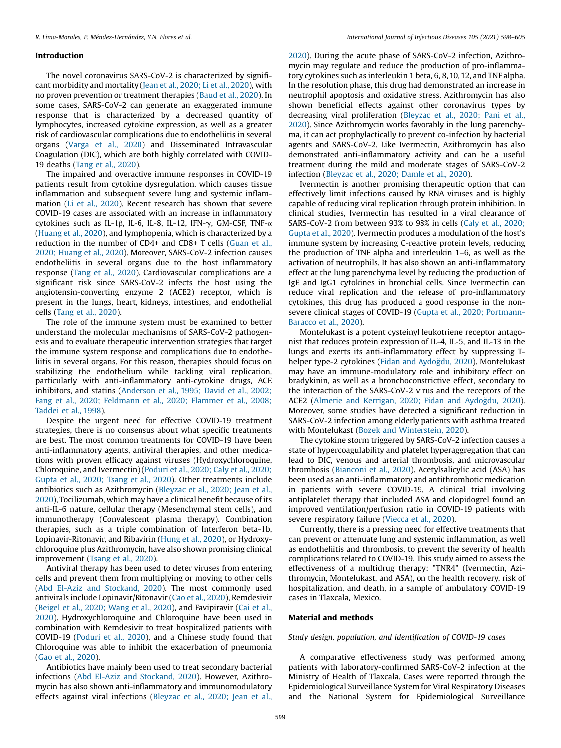#### Introduction

The novel coronavirus SARS-CoV-2 is characterized by significant morbidity and mortality (Jean et al., [2020;](#page-7-0) Li et al., 2020), with no proven prevention or treatment therapies (Baud et al., [2020](#page-6-0)). In some cases, SARS-CoV-2 can generate an exaggerated immune response that is characterized by a decreased quantity of lymphocytes, increased cytokine expression, as well as a greater risk of cardiovascular complications due to endotheliitis in several organs ([Varga](#page-7-0) et al., 2020) and Disseminated Intravascular Coagulation (DIC), which are both highly correlated with COVID-19 deaths (Tang et al., [2020](#page-7-0)).

The impaired and overactive immune responses in COVID-19 patients result from cytokine dysregulation, which causes tissue inflammation and subsequent severe lung and systemic inflammation (Li et al., [2020](#page-7-0)). Recent research has shown that severe COVID-19 cases are associated with an increase in inflammatory cytokines such as IL-1β, IL-6, IL-8, IL-12, IFN- $\gamma$ , GM-CSF, TNF- $\alpha$ ([Huang](#page-7-0) et al., 2020), and lymphopenia, which is characterized by a reduction in the number of CD4+ and CD8+ T cells ([Guan](#page-7-0) et al., 2020; [Huang](#page-7-0) et al., 2020). Moreover, SARS-CoV-2 infection causes endotheliitis in several organs due to the host inflammatory response (Tang et al., [2020](#page-7-0)). Cardiovascular complications are a significant risk since SARS-CoV-2 infects the host using the angiotensin-converting enzyme 2 (ACE2) receptor, which is present in the lungs, heart, kidneys, intestines, and endothelial cells (Tang et al., [2020](#page-7-0)).

The role of the immune system must be examined to better understand the molecular mechanisms of SARS-CoV-2 pathogenesis and to evaluate therapeutic intervention strategies that target the immune system response and complications due to endotheliitis in several organs. For this reason, therapies should focus on stabilizing the endothelium while tackling viral replication, particularly with anti-inflammatory anti-cytokine drugs, ACE inhibitors, and statins ([Anderson](#page-6-0) et al., 1995; David et al., 2002; Fang et al., 2020; [Feldmann](#page-6-0) et al., 2020; Flammer et al., 2008; [Taddei](#page-6-0) et al., 1998).

Despite the urgent need for effective COVID-19 treatment strategies, there is no consensus about what specific treatments are best. The most common treatments for COVID-19 have been anti-inflammatory agents, antiviral therapies, and other medications with proven efficacy against viruses (Hydroxychloroquine, Chloroquine, and Ivermectin) ([Poduri](#page-7-0) et al., 2020; Caly et al., 2020; [Gupta](#page-7-0) et al., 2020; Tsang et al., 2020). Other treatments include antibiotics such as Azithromycin ([Bleyzac](#page-6-0) et al., 2020; Jean et al., [2020\)](#page-6-0), Tocilizumab, which may have a clinical benefit because of its anti-IL-6 nature, cellular therapy (Mesenchymal stem cells), and immunotherapy (Convalescent plasma therapy). Combination therapies, such as a triple combination of Interferon beta-1b, Lopinavir-Ritonavir, and Ribavirin ([Hung](#page-7-0) et al., 2020), or Hydroxychloroquine plus Azithromycin, have also shown promising clinical improvement [\(Tsang](#page-7-0) et al., 2020).

Antiviral therapy has been used to deter viruses from entering cells and prevent them from multiplying or moving to other cells (Abd El-Aziz and [Stockand,](#page-6-0) 2020). The most commonly used antivirals include Lopinavir/Ritonavir (Cao et al., [2020](#page-6-0)), Remdesivir ([Beigel](#page-6-0) et al., 2020; Wang et al., 2020), and Favipiravir [\(Cai](#page-6-0) et al., [2020](#page-6-0)). Hydroxychloroquine and Chloroquine have been used in combination with Remdesivir to treat hospitalized patients with COVID-19 [\(Poduri](#page-7-0) et al., 2020), and a Chinese study found that Chloroquine was able to inhibit the exacerbation of pneumonia (Gao et al., [2020](#page-7-0)).

Antibiotics have mainly been used to treat secondary bacterial infections (Abd El-Aziz and [Stockand,](#page-6-0) 2020). However, Azithromycin has also shown anti-inflammatory and immunomodulatory effects against viral infections ([Bleyzac](#page-6-0) et al., 2020; Jean et al.,

[2020\)](#page-6-0). During the acute phase of SARS-CoV-2 infection, Azithromycin may regulate and reduce the production of pro-inflammatory cytokines such as interleukin 1 beta, 6, 8,10,12, and TNF alpha. In the resolution phase, this drug had demonstrated an increase in neutrophil apoptosis and oxidative stress. Azithromycin has also shown beneficial effects against other coronavirus types by decreasing viral proliferation [\(Bleyzac](#page-6-0) et al., 2020; Pani et al., [2020\)](#page-6-0). Since Azithromycin works favorably in the lung parenchyma, it can act prophylactically to prevent co-infection by bacterial agents and SARS-CoV-2. Like Ivermectin, Azithromycin has also demonstrated anti-inflammatory activity and can be a useful treatment during the mild and moderate stages of SARS-CoV-2 infection [\(Bleyzac](#page-6-0) et al., 2020; Damle et al., 2020).

Ivermectin is another promising therapeutic option that can effectively limit infections caused by RNA viruses and is highly capable of reducing viral replication through protein inhibition. In clinical studies, Ivermectin has resulted in a viral clearance of SARS-CoV-2 from between 93% to 98% in cells (Caly et al., [2020;](#page-6-0) [Gupta](#page-6-0) et al., 2020). Ivermectin produces a modulation of the host's immune system by increasing C-reactive protein levels, reducing the production of TNF alpha and interleukin 1–6, as well as the activation of neutrophils. It has also shown an anti-inflammatory effect at the lung parenchyma level by reducing the production of IgE and IgG1 cytokines in bronchial cells. Since Ivermectin can reduce viral replication and the release of pro-inflammatory cytokines, this drug has produced a good response in the nonsevere clinical stages of COVID-19 (Gupta et al., 2020; [Portmann-](#page-7-0)[Baracco](#page-7-0) et al., 2020).

Montelukast is a potent cysteinyl leukotriene receptor antagonist that reduces protein expression of IL-4, IL-5, and IL-13 in the lungs and exerts its anti-inflammatory effect by suppressing Thelper type-2 cytokines (Fidan and Aydoğdu, 2020). Montelukast may have an immune-modulatory role and inhibitory effect on bradykinin, as well as a bronchoconstrictive effect, secondary to the interaction of the SARS-CoV-2 virus and the receptors of the ACE2 (Almerie and Kerrigan, 2020; Fidan and [Aydogdu,](#page-6-0) 2020). Moreover, some studies have detected a significant reduction in SARS-CoV-2 infection among elderly patients with asthma treated with Montelukast (Bozek and [Winterstein,](#page-6-0) 2020).

The cytokine storm triggered by SARS-CoV-2 infection causes a state of hypercoagulability and platelet hyperaggregation that can lead to DIC, venous and arterial thrombosis, and microvascular thrombosis ([Bianconi](#page-6-0) et al., 2020). Acetylsalicylic acid (ASA) has been used as an anti-inflammatory and antithrombotic medication in patients with severe COVID-19. A clinical trial involving antiplatelet therapy that included ASA and clopidogrel found an improved ventilation/perfusion ratio in COVID-19 patients with severe respiratory failure [\(Viecca](#page-7-0) et al., 2020).

Currently, there is a pressing need for effective treatments that can prevent or attenuate lung and systemic inflammation, as well as endotheliitis and thrombosis, to prevent the severity of health complications related to COVID-19. This study aimed to assess the effectiveness of a multidrug therapy: "TNR4" (Ivermectin, Azithromycin, Montelukast, and ASA), on the health recovery, risk of hospitalization, and death, in a sample of ambulatory COVID-19 cases in Tlaxcala, Mexico.

# Material and methods

# Study design, population, and identification of COVID-19 cases

A comparative effectiveness study was performed among patients with laboratory-confirmed SARS-CoV-2 infection at the Ministry of Health of Tlaxcala. Cases were reported through the Epidemiological Surveillance System for Viral Respiratory Diseases and the National System for Epidemiological Surveillance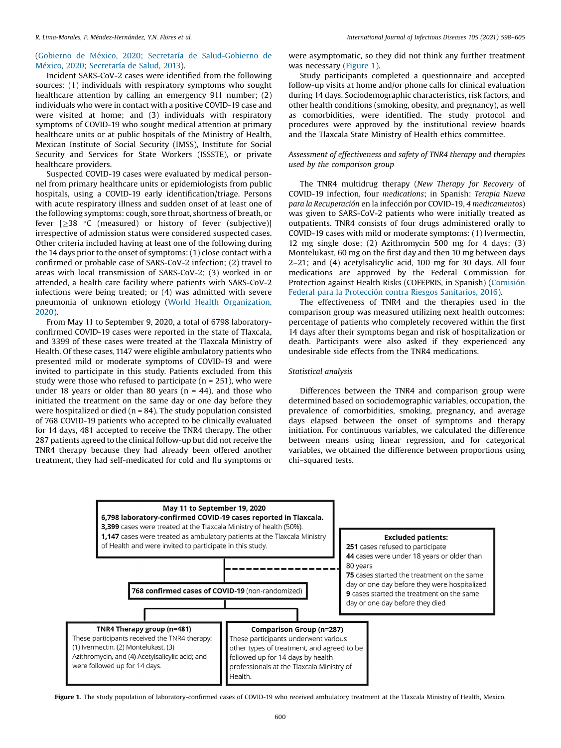# (Gobierno de México, 2020; Secretaría de [Salud-Gobierno](#page-7-0) de México, 2020; [Secretaría](#page-7-0) de Salud, 2013).

Incident SARS-CoV-2 cases were identified from the following sources: (1) individuals with respiratory symptoms who sought healthcare attention by calling an emergency 911 number; (2) individuals who were in contact with a positive COVID-19 case and were visited at home; and (3) individuals with respiratory symptoms of COVID-19 who sought medical attention at primary healthcare units or at public hospitals of the Ministry of Health, Mexican Institute of Social Security (IMSS), Institute for Social Security and Services for State Workers (ISSSTE), or private healthcare providers.

Suspected COVID-19 cases were evaluated by medical personnel from primary healthcare units or epidemiologists from public hospitals, using a COVID-19 early identification/triage. Persons with acute respiratory illness and sudden onset of at least one of the following symptoms: cough, sore throat, shortness of breath, or fever  $[238 °C$  (measured) or history of fever (subjective)] irrespective of admission status were considered suspected cases. Other criteria included having at least one of the following during the 14 days prior to the onset of symptoms: (1) close contact with a confirmed or probable case of SARS-CoV-2 infection; (2) travel to areas with local transmission of SARS-CoV-2; (3) worked in or attended, a health care facility where patients with SARS-CoV-2 infections were being treated; or (4) was admitted with severe pneumonia of unknown etiology (World Health [Organization,](#page-7-0) [2020](#page-7-0)).

From May 11 to September 9, 2020, a total of 6798 laboratoryconfirmed COVID-19 cases were reported in the state of Tlaxcala, and 3399 of these cases were treated at the Tlaxcala Ministry of Health. Of these cases, 1147 were eligible ambulatory patients who presented mild or moderate symptoms of COVID-19 and were invited to participate in this study. Patients excluded from this study were those who refused to participate ( $n = 251$ ), who were under 18 years or older than 80 years ( $n = 44$ ), and those who initiated the treatment on the same day or one day before they were hospitalized or died ( $n = 84$ ). The study population consisted of 768 COVID-19 patients who accepted to be clinically evaluated for 14 days, 481 accepted to receive the TNR4 therapy. The other 287 patients agreed to the clinical follow-up but did not receive the TNR4 therapy because they had already been offered another treatment, they had self-medicated for cold and flu symptoms or

were asymptomatic, so they did not think any further treatment was necessary (Figure 1).

Study participants completed a questionnaire and accepted follow-up visits at home and/or phone calls for clinical evaluation during 14 days. Sociodemographic characteristics, risk factors, and other health conditions (smoking, obesity, and pregnancy), as well as comorbidities, were identified. The study protocol and procedures were approved by the institutional review boards and the Tlaxcala State Ministry of Health ethics committee.

# Assessment of effectiveness and safety of TNR4 therapy and therapies used by the comparison group

The TNR4 multidrug therapy (New Therapy for Recovery of COVID-19 infection, four medications; in Spanish: Terapia Nueva para la Recuperación en la infección por COVID-19, 4 medicamentos) was given to SARS-CoV-2 patients who were initially treated as outpatients. TNR4 consists of four drugs administered orally to COVID-19 cases with mild or moderate symptoms: (1) Ivermectin, 12 mg single dose; (2) Azithromycin 500 mg for 4 days; (3) Montelukast, 60 mg on the first day and then 10 mg between days 2–21; and (4) acetylsalicylic acid, 100 mg for 30 days. All four medications are approved by the Federal Commission for Protection against Health Risks (COFEPRIS, in Spanish) ([Comisión](#page-6-0) Federal para la [Protección](#page-6-0) contra Riesgos Sanitarios, 2016).

The effectiveness of TNR4 and the therapies used in the comparison group was measured utilizing next health outcomes: percentage of patients who completely recovered within the first 14 days after their symptoms began and risk of hospitalization or death. Participants were also asked if they experienced any undesirable side effects from the TNR4 medications.

# Statistical analysis

Differences between the TNR4 and comparison group were determined based on sociodemographic variables, occupation, the prevalence of comorbidities, smoking, pregnancy, and average days elapsed between the onset of symptoms and therapy initiation. For continuous variables, we calculated the difference between means using linear regression, and for categorical variables, we obtained the difference between proportions using chi–squared tests.



Figure 1. The study population of laboratory-confirmed cases of COVID-19 who received ambulatory treatment at the Tlaxcala Ministry of Health, Mexico.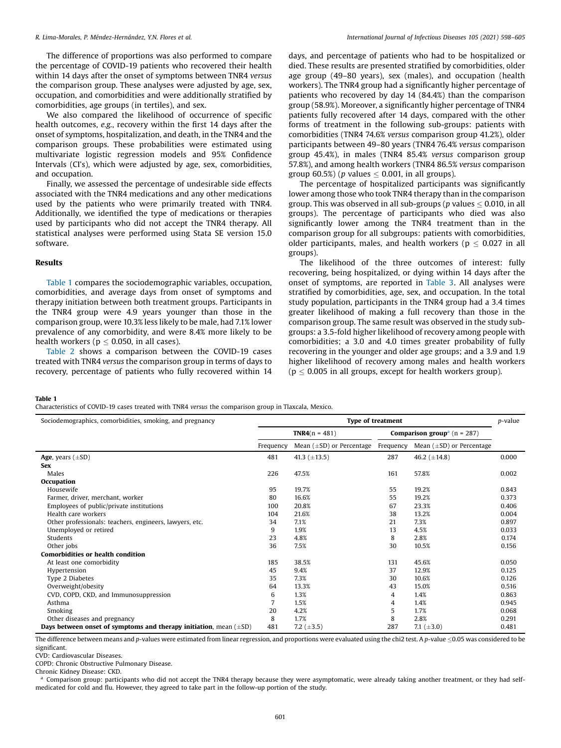The difference of proportions was also performed to compare the percentage of COVID-19 patients who recovered their health within 14 days after the onset of symptoms between TNR4 versus the comparison group. These analyses were adjusted by age, sex, occupation, and comorbidities and were additionally stratified by comorbidities, age groups (in tertiles), and sex.

We also compared the likelihood of occurrence of specific health outcomes, e.g., recovery within the first 14 days after the onset of symptoms, hospitalization, and death, in the TNR4 and the comparison groups. These probabilities were estimated using multivariate logistic regression models and 95% Confidence Intervals (CI's), which were adjusted by age, sex, comorbidities, and occupation.

Finally, we assessed the percentage of undesirable side effects associated with the TNR4 medications and any other medications used by the patients who were primarily treated with TNR4. Additionally, we identified the type of medications or therapies used by participants who did not accept the TNR4 therapy. All statistical analyses were performed using Stata SE version 15.0 software.

### Results

Table 1 compares the sociodemographic variables, occupation, comorbidities, and average days from onset of symptoms and therapy initiation between both treatment groups. Participants in the TNR4 group were 4.9 years younger than those in the comparison group, were 10.3% less likely to be male, had 7.1% lower prevalence of any comorbidity, and were 8.4% more likely to be health workers ( $p < 0.050$ , in all cases).

[Table](#page-4-0) 2 shows a comparison between the COVID-19 cases treated with TNR4 versus the comparison group in terms of days to recovery, percentage of patients who fully recovered within 14 days, and percentage of patients who had to be hospitalized or died. These results are presented stratified by comorbidities, older age group (49–80 years), sex (males), and occupation (health workers). The TNR4 group had a significantly higher percentage of patients who recovered by day 14 (84.4%) than the comparison group (58.9%). Moreover, a significantly higher percentage of TNR4 patients fully recovered after 14 days, compared with the other forms of treatment in the following sub-groups: patients with comorbidities (TNR4 74.6% versus comparison group 41.2%), older participants between 49–80 years (TNR4 76.4% versus comparison group 45.4%), in males (TNR4 85.4% versus comparison group 57.8%), and among health workers (TNR4 86.5% versus comparison group 60.5%) (*p* values  $\leq$  0.001, in all groups).

The percentage of hospitalized participants was significantly lower among those who took TNR4 therapy than in the comparison group. This was observed in all sub-groups (p values  $\leq$  0.010, in all groups). The percentage of participants who died was also significantly lower among the TNR4 treatment than in the comparison group for all subgroups: patients with comorbidities, older participants, males, and health workers ( $p \leq 0.027$  in all groups).

The likelihood of the three outcomes of interest: fully recovering, being hospitalized, or dying within 14 days after the onset of symptoms, are reported in [Table](#page-5-0) 3. All analyses were stratified by comorbidities, age, sex, and occupation. In the total study population, participants in the TNR4 group had a 3.4 times greater likelihood of making a full recovery than those in the comparison group. The same result was observed in the study subgroups: a 3.5-fold higher likelihood of recovery among people with comorbidities; a 3.0 and 4.0 times greater probability of fully recovering in the younger and older age groups; and a 3.9 and 1.9 higher likelihood of recovery among males and health workers ( $p \leq 0.005$  in all groups, except for health workers group).

Table 1

Characteristics of COVID-19 cases treated with TNR4 versus the comparison group in Tlaxcala, Mexico.

| Sociodemographics, comorbidities, smoking, and pregnancy               | <b>Type of treatment</b><br>p-value |                               |           |                                                    |       |  |  |
|------------------------------------------------------------------------|-------------------------------------|-------------------------------|-----------|----------------------------------------------------|-------|--|--|
|                                                                        | <b>TNR4</b> $(n = 481)$             |                               |           | <b>Comparison group</b> <sup>a</sup> ( $n = 287$ ) |       |  |  |
|                                                                        | Frequency                           | Mean $(\pm SD)$ or Percentage | Frequency | Mean $(\pm SD)$ or Percentage                      |       |  |  |
| Age, years $(\pm SD)$                                                  | 481                                 | 41.3 $(\pm 13.5)$             | 287       | 46.2 $(\pm 14.8)$                                  | 0.000 |  |  |
| <b>Sex</b>                                                             |                                     |                               |           |                                                    |       |  |  |
| Males                                                                  | 226                                 | 47.5%                         | 161       | 57.8%                                              | 0.002 |  |  |
| Occupation                                                             |                                     |                               |           |                                                    |       |  |  |
| Housewife                                                              | 95                                  | 19.7%                         | 55        | 19.2%                                              | 0.843 |  |  |
| Farmer, driver, merchant, worker                                       | 80                                  | 16.6%                         | 55        | 19.2%                                              | 0.373 |  |  |
| Employees of public/private institutions                               | 100                                 | 20.8%                         | 67        | 23.3%                                              | 0.406 |  |  |
| Health care workers                                                    | 104                                 | 21.6%                         | 38        | 13.2%                                              | 0.004 |  |  |
| Other professionals: teachers, engineers, lawyers, etc.                | 34                                  | 7.1%                          | 21        | 7.3%                                               | 0.897 |  |  |
| Unemployed or retired                                                  | 9                                   | 1.9%                          | 13        | 4.5%                                               | 0.033 |  |  |
| Students                                                               | 23                                  | 4.8%                          | 8         | 2.8%                                               | 0.174 |  |  |
| Other jobs                                                             | 36                                  | 7.5%                          | 30        | 10.5%                                              | 0.156 |  |  |
| <b>Comorbidities or health condition</b>                               |                                     |                               |           |                                                    |       |  |  |
| At least one comorbidity                                               | 185                                 | 38.5%                         | 131       | 45.6%                                              | 0.050 |  |  |
| Hypertension                                                           | 45                                  | 9.4%                          | 37        | 12.9%                                              | 0.125 |  |  |
| Type 2 Diabetes                                                        | 35                                  | 7.3%                          | 30        | 10.6%                                              | 0.126 |  |  |
| Overweight/obesity                                                     | 64                                  | 13.3%                         | 43        | 15.0%                                              | 0.516 |  |  |
| CVD, COPD, CKD, and Immunosuppression                                  | 6                                   | 1.3%                          | 4         | 1.4%                                               | 0.863 |  |  |
| Asthma                                                                 |                                     | 1.5%                          | 4         | 1.4%                                               | 0.945 |  |  |
| Smoking                                                                | 20                                  | 4.2%                          | 5         | 1.7%                                               | 0.068 |  |  |
| Other diseases and pregnancy                                           | 8                                   | 1.7%                          | 8         | 2.8%                                               | 0.291 |  |  |
| Days between onset of symptoms and therapy initiation, mean $(\pm SD)$ | 481                                 | 7.2 $(\pm 3.5)$               | 287       | 7.1 $(\pm 3.0)$                                    | 0.481 |  |  |

The difference between means and p-values were estimated from linear regression, and proportions were evaluated using the chi2 test. A p-value  $\leq$ 0.05 was considered to be significant.

CVD: Cardiovascular Diseases.

COPD: Chronic Obstructive Pulmonary Disease.

Chronic Kidney Disease: CKD.

a Comparison group: participants who did not accept the TNR4 therapy because they were asymptomatic, were already taking another treatment, or they had selfmedicated for cold and flu. However, they agreed to take part in the follow-up portion of the study.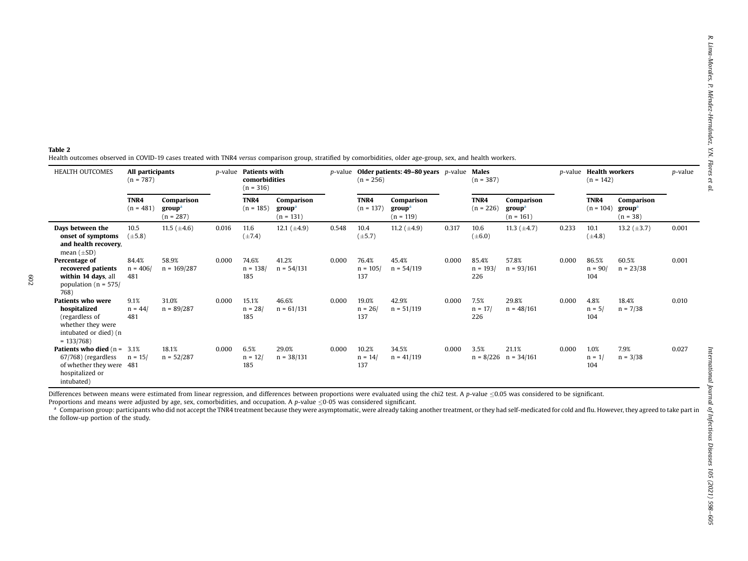#### <span id="page-4-0"></span>Table 2

Health outcomes observed in COVID-19 cases treated with TNR4 versus comparison group, stratified by comorbidities, older age-group, sex, and health workers.

| <b>HEALTH OUTCOMES</b>                                                                                                  | All participants<br>$(n = 787)$ |                                                 | p-value | <b>Patients with</b><br>comorbidities<br>$(n = 316)$ |                                                 |       | $(n = 256)$                | $p$ -value Older patients: 49–80 years $p$ -value |       | Males<br>$(n = 387)$       |                                                 |       | $(n = 142)$               | <i>p</i> -value <b>Health workers</b><br>p-value |       |
|-------------------------------------------------------------------------------------------------------------------------|---------------------------------|-------------------------------------------------|---------|------------------------------------------------------|-------------------------------------------------|-------|----------------------------|---------------------------------------------------|-------|----------------------------|-------------------------------------------------|-------|---------------------------|--------------------------------------------------|-------|
|                                                                                                                         | TNR4<br>$(n = 481)$             | Comparison<br>group <sup>a</sup><br>$(n = 287)$ |         | TNR4<br>$(n = 185)$                                  | Comparison<br>group <sup>a</sup><br>$(n = 131)$ |       | TNR4<br>$(n = 137)$        | Comparison<br>group <sup>a</sup><br>$(n = 119)$   |       | TNR4<br>$(n = 226)$        | Comparison<br>group <sup>a</sup><br>$(n = 161)$ |       | TNR4<br>$(n = 104)$       | Comparison<br>group <sup>a</sup><br>$(n = 38)$   |       |
| Days between the<br>onset of symptoms<br>and health recovery,<br>mean $(\pm SD)$                                        | 10.5<br>$(\pm 5.8)$             | 11.5 $(\pm 4.6)$                                | 0.016   | 11.6<br>$(\pm 7.4)$                                  | 12.1 $(\pm 4.9)$                                | 0.548 | 10.4<br>$(\pm 5.7)$        | 11.2 $(\pm 4.9)$                                  | 0.317 | 10.6<br>$(\pm 6.0)$        | 11.3 $(\pm 4.7)$                                | 0.233 | 10.1<br>$(\pm 4.8)$       | 13.2 $(\pm 3.7)$                                 | 0.001 |
| Percentage of<br>recovered patients<br>within 14 days, all<br>population ( $n = 575/$<br>768)                           | 84.4%<br>$n = 406/$<br>481      | 58.9%<br>$n = 169/287$                          | 0.000   | 74.6%<br>$n = 138/$<br>185                           | 41.2%<br>$n = 54/131$                           | 0.000 | 76.4%<br>$n = 105/$<br>137 | 45.4%<br>$n = 54/119$                             | 0.000 | 85.4%<br>$n = 193/$<br>226 | 57.8%<br>$n = 93/161$                           | 0.000 | 86.5%<br>$n = 90/$<br>104 | 60.5%<br>$n = 23/38$                             | 0.001 |
| <b>Patients who were</b><br>hospitalized<br>(regardless of<br>whether they were<br>intubated or died) (n<br>$= 133/768$ | 9.1%<br>$n = 44/$<br>481        | 31.0%<br>$n = 89/287$                           | 0.000   | 15.1%<br>$n = 28/$<br>185                            | 46.6%<br>$n = 61/131$                           | 0.000 | 19.0%<br>$n = 26/$<br>137  | 42.9%<br>$n = 51/119$                             | 0.000 | 7.5%<br>$n = 17/$<br>226   | 29.8%<br>$n = 48/161$                           | 0.000 | 4.8%<br>$n = 5/$<br>104   | 18.4%<br>$n = 7/38$                              | 0.010 |
| <b>Patients who died</b> $(n =$<br>67/768) (regardless<br>of whether they were 481<br>hospitalized or<br>intubated)     | 3.1%<br>$n = 15/$               | 18.1%<br>$n = 52/287$                           | 0.000   | 6.5%<br>$n = 12/$<br>185                             | 29.0%<br>$n = 38/131$                           | 0.000 | 10.2%<br>$n = 14/$<br>137  | 34.5%<br>$n = 41/119$                             | 0.000 | 3.5%<br>$n = 8/226$        | 21.1%<br>$n = 34/161$                           | 0.000 | 1.0%<br>$n = 1/2$<br>104  | 7.9%<br>$n = 3/38$                               | 0.027 |

Differences between means were estimated from linear regression, and differences between proportions were evaluated using the chi2 test. A p-value  $\leq$ 0.05 was considered to be significant. Proportions and means were adjusted by age, sex, comorbidities, and occupation. A p-value  $\leq 0.05$  was considered significant.

 $^{\rm a}$  Comparison group: participants who did not accept the TNR4 treatment because they were asymptomatic, were already taking another treatment, or they had self-medicated for cold and flu. However, they agreed to take the follow-up portion of the study.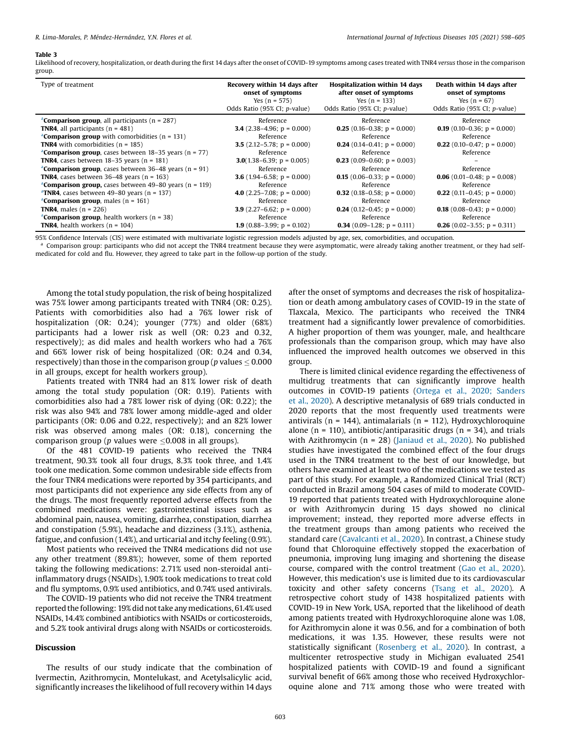#### <span id="page-5-0"></span>Table 3

Likelihood of recovery, hospitalization, or death during the first 14 days after the onset of COVID-19 symptoms among cases treated with TNR4 versus those in the comparison group.

| Type of treatment                                                     | Recovery within 14 days after<br>onset of symptoms<br>Yes $(n = 575)$<br>Odds Ratio (95% CI; p-value) | <b>Hospitalization within 14 days</b><br>after onset of symptoms<br>Yes $(n = 133)$<br>Odds Ratio (95% CI; p-value) | Death within 14 days after<br>onset of symptoms<br>Yes $(n = 67)$<br>Odds Ratio (95% CI; p-value) |
|-----------------------------------------------------------------------|-------------------------------------------------------------------------------------------------------|---------------------------------------------------------------------------------------------------------------------|---------------------------------------------------------------------------------------------------|
| <sup>a</sup> Comparison group, all participants ( $n = 287$ )         | Reference                                                                                             | Reference                                                                                                           | Reference                                                                                         |
| <b>TNR4</b> , all participants $(n = 481)$                            | <b>3.4</b> (2.38–4.96; $p = 0.000$ )                                                                  | <b>0.25</b> (0.16-0.38; $p = 0.000$ )                                                                               | <b>0.19</b> (0.10–0.36; $p = 0.000$ )                                                             |
| <sup>a</sup> Comparison group with comorbidities ( $n = 131$ )        | Reference                                                                                             | Reference                                                                                                           | Reference                                                                                         |
| <b>TNR4</b> with comorbidities $(n = 185)$                            | <b>3.5</b> (2.12–5.78; $p = 0.000$ )                                                                  | <b>0.24</b> (0.14-0.41; $p = 0.000$ )                                                                               | <b>0.22</b> (0.10-0.47; $p = 0.000$ )                                                             |
| <sup>a</sup> Comparison group, cases between 18–35 years (n = 77)     | Reference                                                                                             | Reference                                                                                                           | Reference                                                                                         |
| <b>TNR4</b> , cases between $18-35$ years (n = 181)                   | <b>3.0</b> (1.38–6.39; $p = 0.005$ )                                                                  | <b>0.23</b> (0.09–0.60; $p = 0.003$ )                                                                               |                                                                                                   |
| <sup>a</sup> Comparison group, cases between 36-48 years ( $n = 91$ ) | Reference                                                                                             | Reference                                                                                                           | Reference                                                                                         |
| <b>TNR4</b> , cases between $36-48$ years (n = 163)                   | <b>3.6</b> (1.94–6.58; $p = 0.000$ )                                                                  | <b>0.15</b> (0.06–0.33; $p = 0.000$ )                                                                               | <b>0.06</b> (0.01-0.48; $p = 0.008$ )                                                             |
| <sup>a</sup> Comparison group, cases between 49–80 years (n = 119)    | Reference                                                                                             | Reference                                                                                                           | Reference                                                                                         |
| $\textdegree$ TNR4, cases between 49–80 years (n = 137)               | 4.0 $(2.25-7.08; p = 0.000)$                                                                          | <b>0.32</b> (0.18–0.58; $p = 0.000$ )                                                                               | <b>0.22</b> (0.11-0.45; $p = 0.000$ )                                                             |
| <sup>a</sup> Comparison group, males ( $n = 161$ )                    | Reference                                                                                             | Reference                                                                                                           | Reference                                                                                         |
| <b>TNR4</b> , males $(n = 226)$                                       | <b>3.9</b> (2.27–6.62; $p = 0.000$ )                                                                  | <b>0.24</b> (0.12-0.45; $p = 0.000$ )                                                                               | <b>0.18</b> (0.08–0.43; $p = 0.000$ )                                                             |
| <sup>a</sup> Comparison group, health workers ( $n = 38$ )            | Reference                                                                                             | Reference                                                                                                           | Reference                                                                                         |
| <b>TNR4</b> , health workers $(n = 104)$                              | <b>1.9</b> (0.88–3.99; $p = 0.102$ )                                                                  | <b>0.34</b> (0.09–1.28; $p = 0.111$ )                                                                               | <b>0.26</b> (0.02–3.55; $p = 0.311$ )                                                             |

95% Confidence Intervals (CIS) were estimated with multivariate logistic regression models adjusted by age, sex, comorbidities, and occupation.

a Comparison group: participants who did not accept the TNR4 treatment because they were asymptomatic, were already taking another treatment, or they had selfmedicated for cold and flu. However, they agreed to take part in the follow-up portion of the study.

Among the total study population, the risk of being hospitalized was 75% lower among participants treated with TNR4 (OR: 0.25). Patients with comorbidities also had a 76% lower risk of hospitalization (OR: 0.24); younger (77%) and older (68%) participants had a lower risk as well (OR: 0.23 and 0.32, respectively); as did males and health workers who had a 76% and 66% lower risk of being hospitalized (OR: 0.24 and 0.34, respectively) than those in the comparison group (p values  $\leq$  0.000 in all groups, except for health workers group).

Patients treated with TNR4 had an 81% lower risk of death among the total study population (OR: 0.19). Patients with comorbidities also had a 78% lower risk of dying (OR: 0.22); the risk was also 94% and 78% lower among middle-aged and older participants (OR: 0.06 and 0.22, respectively); and an 82% lower risk was observed among males (OR: 0.18), concerning the comparison group (p values were  $\leq 0.008$  in all groups).

Of the 481 COVID-19 patients who received the TNR4 treatment, 90.3% took all four drugs, 8.3% took three, and 1.4% took one medication. Some common undesirable side effects from the four TNR4 medications were reported by 354 participants, and most participants did not experience any side effects from any of the drugs. The most frequently reported adverse effects from the combined medications were: gastrointestinal issues such as abdominal pain, nausea, vomiting, diarrhea, constipation, diarrhea and constipation (5.9%), headache and dizziness (3.1%), asthenia, fatigue, and confusion (1.4%), and urticarial and itchy feeling (0.9%).

Most patients who received the TNR4 medications did not use any other treatment (89.8%); however, some of them reported taking the following medications: 2.71% used non-steroidal antiinflammatory drugs (NSAIDs), 1.90% took medications to treat cold and flu symptoms, 0.9% used antibiotics, and 0.74% used antivirals.

The COVID-19 patients who did not receive the TNR4 treatment reported the following: 19% did not take any medications, 61.4% used NSAIDs, 14.4% combined antibiotics with NSAIDs or corticosteroids, and 5.2% took antiviral drugs along with NSAIDs or corticosteroids.

# Discussion

The results of our study indicate that the combination of Ivermectin, Azithromycin, Montelukast, and Acetylsalicylic acid, significantly increases the likelihood of full recovery within 14 days

after the onset of symptoms and decreases the risk of hospitalization or death among ambulatory cases of COVID-19 in the state of Tlaxcala, Mexico. The participants who received the TNR4 treatment had a significantly lower prevalence of comorbidities. A higher proportion of them was younger, male, and healthcare professionals than the comparison group, which may have also influenced the improved health outcomes we observed in this group.

There is limited clinical evidence regarding the effectiveness of multidrug treatments that can significantly improve health outcomes in COVID-19 patients (Ortega et al., 2020; [Sanders](#page-7-0) et al., [2020](#page-7-0)). A descriptive metanalysis of 689 trials conducted in 2020 reports that the most frequently used treatments were antivirals ( $n = 144$ ), antimalarials ( $n = 112$ ), Hydroxychloroquine alone ( $n = 110$ ), antibiotic/antiparasitic drugs ( $n = 34$ ), and trials with Azithromycin (n = 28) [\(Janiaud](#page-7-0) et al., 2020). No published studies have investigated the combined effect of the four drugs used in the TNR4 treatment to the best of our knowledge, but others have examined at least two of the medications we tested as part of this study. For example, a Randomized Clinical Trial (RCT) conducted in Brazil among 504 cases of mild to moderate COVID-19 reported that patients treated with Hydroxychloroquine alone or with Azithromycin during 15 days showed no clinical improvement; instead, they reported more adverse effects in the treatment groups than among patients who received the standard care [\(Cavalcanti](#page-6-0) et al., 2020). In contrast, a Chinese study found that Chloroquine effectively stopped the exacerbation of pneumonia, improving lung imaging and shortening the disease course, compared with the control treatment (Gao et al., [2020](#page-7-0)). However, this medication's use is limited due to its cardiovascular toxicity and other safety concerns [\(Tsang](#page-7-0) et al., 2020). A retrospective cohort study of 1438 hospitalized patients with COVID-19 in New York, USA, reported that the likelihood of death among patients treated with Hydroxychloroquine alone was 1.08, for Azithromycin alone it was 0.56, and for a combination of both medications, it was 1.35. However, these results were not statistically significant [\(Rosenberg](#page-7-0) et al., 2020). In contrast, a multicenter retrospective study in Michigan evaluated 2541 hospitalized patients with COVID-19 and found a significant survival benefit of 66% among those who received Hydroxychloroquine alone and 71% among those who were treated with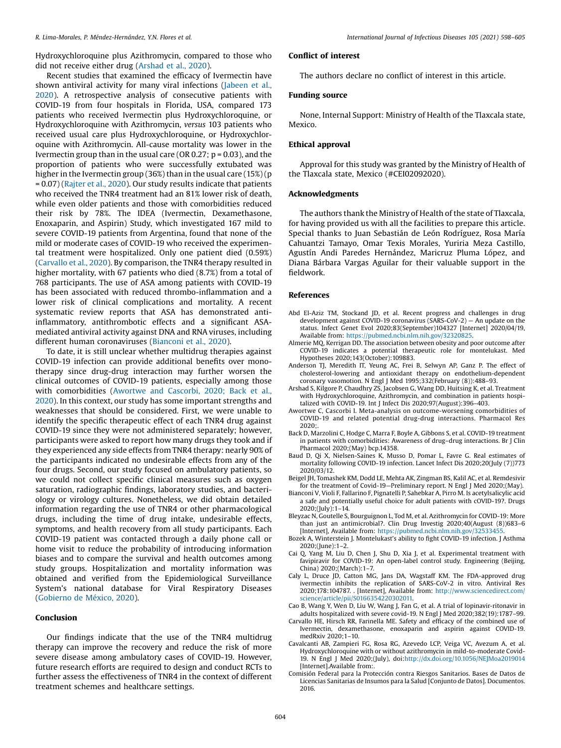<span id="page-6-0"></span>Hydroxychloroquine plus Azithromycin, compared to those who did not receive either drug (Arshad et al., 2020).

Recent studies that examined the efficacy of Ivermectin have shown antiviral activity for many viral infections [\(Jabeen](#page-7-0) et al., [2020](#page-7-0)). A retrospective analysis of consecutive patients with COVID-19 from four hospitals in Florida, USA, compared 173 patients who received Ivermectin plus Hydroxychloroquine, or Hydroxychloroquine with Azithromycin, versus 103 patients who received usual care plus Hydroxychloroquine, or Hydroxychloroquine with Azithromycin. All-cause mortality was lower in the Ivermectin group than in the usual care (OR 0.27;  $p = 0.03$ ), and the proportion of patients who were successfully extubated was higher in the Ivermectin group (36%) than in the usual care (15%) (p = 0.07) [\(Rajter](#page-7-0) et al., 2020). Our study results indicate that patients who received the TNR4 treatment had an 81% lower risk of death, while even older patients and those with comorbidities reduced their risk by 78%. The IDEA (Ivermectin, Dexamethasone, Enoxaparin, and Aspirin) Study, which investigated 167 mild to severe COVID-19 patients from Argentina, found that none of the mild or moderate cases of COVID-19 who received the experimental treatment were hospitalized. Only one patient died (0.59%) (Carvallo et al., 2020). By comparison, the TNR4 therapy resulted in higher mortality, with 67 patients who died (8.7%) from a total of 768 participants. The use of ASA among patients with COVID-19 has been associated with reduced thrombo-inflammation and a lower risk of clinical complications and mortality. A recent systematic review reports that ASA has demonstrated antiinflammatory, antithrombotic effects and a significant ASAmediated antiviral activity against DNA and RNA viruses, including different human coronaviruses (Bianconi et al., 2020).

To date, it is still unclear whether multidrug therapies against COVID-19 infection can provide additional benefits over monotherapy since drug-drug interaction may further worsen the clinical outcomes of COVID-19 patients, especially among those with comorbidities (Awortwe and Cascorbi, 2020; Back et al., 2020). In this context, our study has some important strengths and weaknesses that should be considered. First, we were unable to identify the specific therapeutic effect of each TNR4 drug against COVID-19 since they were not administered separately; however, participants were asked to report how many drugs they took and if they experienced any side effects from TNR4 therapy: nearly 90% of the participants indicated no undesirable effects from any of the four drugs. Second, our study focused on ambulatory patients, so we could not collect specific clinical measures such as oxygen saturation, radiographic findings, laboratory studies, and bacteriology or virology cultures. Nonetheless, we did obtain detailed information regarding the use of TNR4 or other pharmacological drugs, including the time of drug intake, undesirable effects, symptoms, and health recovery from all study participants. Each COVID-19 patient was contacted through a daily phone call or home visit to reduce the probability of introducing information biases and to compare the survival and health outcomes among study groups. Hospitalization and mortality information was obtained and verified from the Epidemiological Surveillance System's national database for Viral Respiratory Diseases ([Gobierno](#page-7-0) de México, 2020).

# Conclusion

Our findings indicate that the use of the TNR4 multidrug therapy can improve the recovery and reduce the risk of more severe disease among ambulatory cases of COVID-19. However, future research efforts are required to design and conduct RCTs to further assess the effectiveness of TNR4 in the context of different treatment schemes and healthcare settings.

# Conflict of interest

The authors declare no conflict of interest in this article.

# Funding source

None, Internal Support: Ministry of Health of the Tlaxcala state, Mexico.

# Ethical approval

Approval for this study was granted by the Ministry of Health of the Tlaxcala state, Mexico (#CEI02092020).

#### Acknowledgments

The authors thank the Ministry of Health of the state of Tlaxcala, for having provided us with all the facilities to prepare this article. Special thanks to Juan Sebastián de León Rodríguez, Rosa María Cahuantzi Tamayo, Omar Texis Morales, Yuriria Meza Castillo, Agustín Andi Paredes Hernández, Maricruz Pluma López, and Diana Bárbara Vargas Aguilar for their valuable support in the fieldwork.

# References

- Abd El-Aziz TM, Stockand JD, et al. Recent progress and challenges in drug development against COVID-19 coronavirus (SARS-CoV-2) — An update on the status. Infect Genet Evol 2020;83(September)104327 [Internet] 2020/04/19, Available from: <https://pubmed.ncbi.nlm.nih.gov/32320825>.
- Almerie MQ, Kerrigan DD. The association between obesity and poor outcome after COVID-19 indicates a potential therapeutic role for montelukast. Med Hypotheses 2020;143(October):109883.
- Anderson TJ, Meredith IT, Yeung AC, Frei B, Selwyn AP, Ganz P. The effect of cholesterol-lowering and antioxidant therapy on endothelium-dependent coronary vasomotion. N Engl J Med 1995;332(February (8)):488–93.
- Arshad S, Kilgore P, Chaudhry ZS, Jacobsen G, Wang DD, Huitsing K, et al. Treatment with Hydroxychloroquine, Azithromycin, and combination in patients hospitalized with COVID-19. Int J Infect Dis 2020;97(August):396–403.
- Awortwe C, Cascorbi I. Meta-analysis on outcome-worsening comorbidities of COVID-19 and related potential drug-drug interactions. Pharmacol Res 2020;.
- Back D, Marzolini C, Hodge C, Marra F, Boyle A, Gibbons S, et al. COVID-19 treatment in patients with comorbidities: Awareness of drug–drug interactions. Br J Clin Pharmacol 2020;(May) bcp.14358.
- Baud D, Qi X, Nielsen-Saines K, Musso D, Pomar L, Favre G. Real estimates of mortality following COVID-19 infection. Lancet Infect Dis 2020;20(July (7))773 2020/03/12.
- Beigel JH, Tomashek KM, Dodd LE, Mehta AK, Zingman BS, Kalil AC, et al. Remdesivir for the treatment of Covid-19—Preliminary report. N Engl J Med 2020;(May).
- Bianconi V, Violi F, Fallarino F, Pignatelli P, Sahebkar A, Pirro M. Is acetylsalicylic acid a safe and potentially useful choice for adult patients with cOVID-19?. Drugs 2020;(July):1–14.
- Bleyzac N, Goutelle S, Bourguignon L, Tod M, et al. Azithromycin for COVID-19: More than just an antimicrobial?. Clin Drug Investig 2020;40(August (8))683–6 [Internet], Available from: [https://pubmed.ncbi.nlm.nih.gov/32533455.](https://pubmed.ncbi.nlm.nih.gov/32533455)
- Bozek A, Winterstein J. Montelukast's ability to fight COVID-19 infection. J Asthma 2020;(June):1–2.
- Cai Q, Yang M, Liu D, Chen J, Shu D, Xia J, et al. Experimental treatment with favipiravir for COVID-19: An open-label control study. Engineering (Beijing, China) 2020;(March):1–7.
- Caly L, Druce JD, Catton MG, Jans DA, Wagstaff KM. The FDA-approved drug ivermectin inhibits the replication of SARS-CoV-2 in vitro. Antiviral Res 2020;178:104787. . [Internet], Available from: [http://www.sciencedirect.com/](http://www.sciencedirect.com/science/article/pii/S0166354220302011) [science/article/pii/S0166354220302011.](http://www.sciencedirect.com/science/article/pii/S0166354220302011)
- Cao B, Wang Y, Wen D, Liu W, Wang J, Fan G, et al. A trial of lopinavir-ritonavir in adults hospitalized with severe covid-19. N Engl J Med 2020;382(19):1787–99.
- Carvallo HE, Hirsch RR, Farinella ME. Safety and efficacy of the combined use of Ivermectin, dexamethasone, enoxaparin and aspirin against COVID-19. medRxiv 2020;1–10.
- Cavalcanti AB, Zampieri FG, Rosa RG, Azevedo LCP, Veiga VC, Avezum A, et al. Hydroxychloroquine with or without azithromycin in mild-to-moderate Covid-19. N Engl J Med 2020;(July), doi:<http://dx.doi.org/10.1056/NEJMoa2019014> [Internet].Available from:.
- Comisión Federal para la Protección contra Riesgos Sanitarios. Bases de Datos de Licencias Sanitarias de Insumos para la Salud [Conjunto de Datos]. Documentos. 2016.